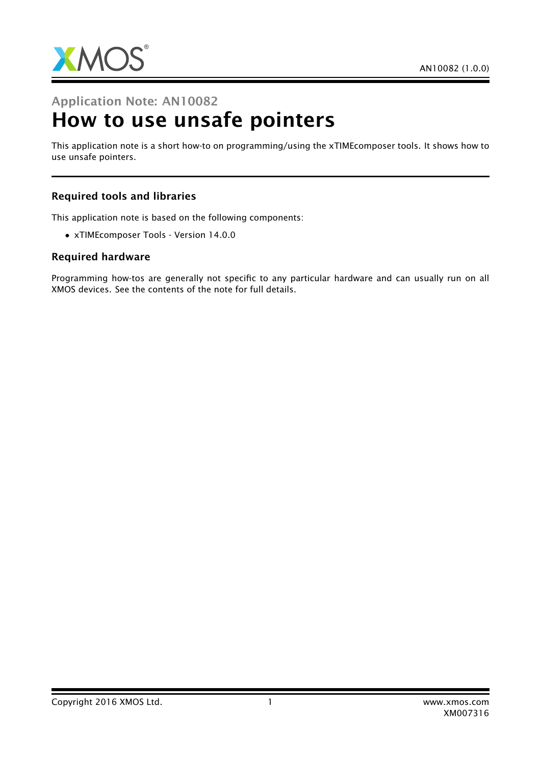

# Application Note: AN10082 How to use unsafe pointers

This application note is a short how-to on programming/using the xTIMEcomposer tools. It shows how to use unsafe pointers.

### Required tools and libraries

This application note is based on the following components:

• xTIMEcomposer Tools - Version 14.0.0

#### Required hardware

Programming how-tos are generally not specific to any particular hardware and can usually run on all XMOS devices. See the contents of the note for full details.